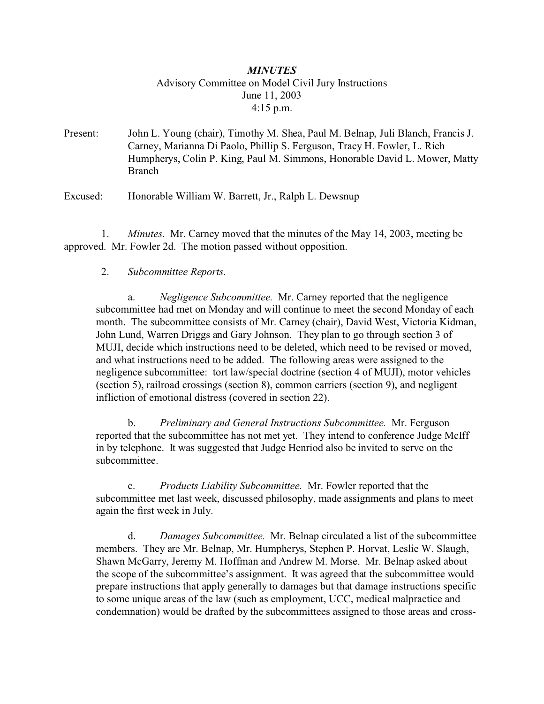# *MINUTES* Advisory Committee on Model Civil Jury Instructions June 11, 2003 4:15 p.m.

Present: John L. Young (chair), Timothy M. Shea, Paul M. Belnap, Juli Blanch, Francis J. Carney, Marianna Di Paolo, Phillip S. Ferguson, Tracy H. Fowler, L. Rich Humpherys, Colin P. King, Paul M. Simmons, Honorable David L. Mower, Matty Branch

Excused: Honorable William W. Barrett, Jr., Ralph L. Dewsnup

 1. *Minutes.* Mr. Carney moved that the minutes of the May 14, 2003, meeting be approved. Mr. Fowler 2d. The motion passed without opposition.

### 2. *Subcommittee Reports.*

a. *Negligence Subcommittee.* Mr. Carney reported that the negligence subcommittee had met on Monday and will continue to meet the second Monday of each month. The subcommittee consists of Mr. Carney (chair), David West, Victoria Kidman, John Lund, Warren Driggs and Gary Johnson. They plan to go through section 3 of MUJI, decide which instructions need to be deleted, which need to be revised or moved, and what instructions need to be added. The following areas were assigned to the negligence subcommittee: tort law/special doctrine (section 4 of MUJI), motor vehicles (section 5), railroad crossings (section 8), common carriers (section 9), and negligent infliction of emotional distress (covered in section 22).

b. *Preliminary and General Instructions Subcommittee.* Mr. Ferguson reported that the subcommittee has not met yet. They intend to conference Judge McIff in by telephone. It was suggested that Judge Henriod also be invited to serve on the subcommittee.

c. *Products Liability Subcommittee.* Mr. Fowler reported that the subcommittee met last week, discussed philosophy, made assignments and plans to meet again the first week in July.

d. *Damages Subcommittee.* Mr. Belnap circulated a list of the subcommittee members. They are Mr. Belnap, Mr. Humpherys, Stephen P. Horvat, Leslie W. Slaugh, Shawn McGarry, Jeremy M. Hoffman and Andrew M. Morse. Mr. Belnap asked about the scope of the subcommittee's assignment. It was agreed that the subcommittee would prepare instructions that apply generally to damages but that damage instructions specific to some unique areas of the law (such as employment, UCC, medical malpractice and condemnation) would be drafted by the subcommittees assigned to those areas and cross-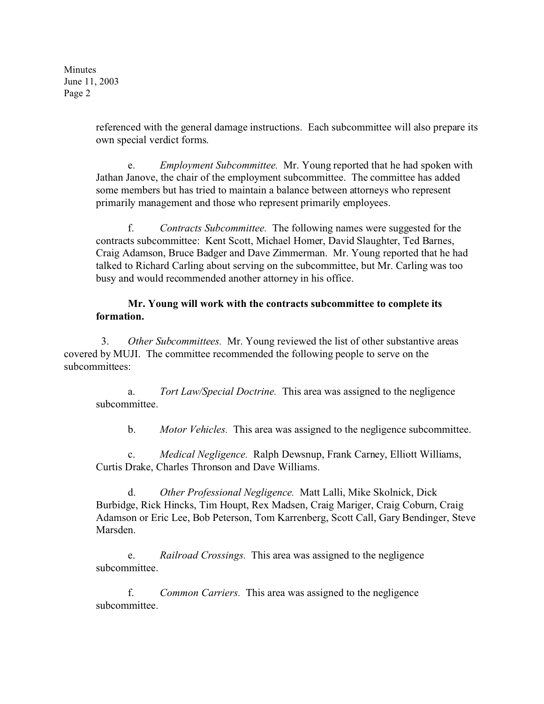> referenced with the general damage instructions. Each subcommittee will also prepare its own special verdict forms.

e. *Employment Subcommittee.* Mr. Young reported that he had spoken with Jathan Janove, the chair of the employment subcommittee. The committee has added some members but has tried to maintain a balance between attorneys who represent primarily management and those who represent primarily employees.

f. *Contracts Subcommittee.* The following names were suggested for the contracts subcommittee: Kent Scott, Michael Homer, David Slaughter, Ted Barnes, Craig Adamson, Bruce Badger and Dave Zimmerman. Mr. Young reported that he had talked to Richard Carling about serving on the subcommittee, but Mr. Carling was too busy and would recommended another attorney in his office.

# **Mr. Young will work with the contracts subcommittee to complete its formation.**

 3. *Other Subcommittees.* Mr. Young reviewed the list of other substantive areas covered by MUJI. The committee recommended the following people to serve on the subcommittees:

a. *Tort Law/Special Doctrine.* This area was assigned to the negligence subcommittee.

b. *Motor Vehicles.* This area was assigned to the negligence subcommittee.

c. *Medical Negligence.* Ralph Dewsnup, Frank Carney, Elliott Williams, Curtis Drake, Charles Thronson and Dave Williams.

d. *Other Professional Negligence.* Matt Lalli, Mike Skolnick, Dick Burbidge, Rick Hincks, Tim Houpt, Rex Madsen, Craig Mariger, Craig Coburn, Craig Adamson or Eric Lee, Bob Peterson, Tom Karrenberg, Scott Call, Gary Bendinger, Steve Marsden.

e. *Railroad Crossings.* This area was assigned to the negligence subcommittee.

f. *Common Carriers.* This area was assigned to the negligence subcommittee.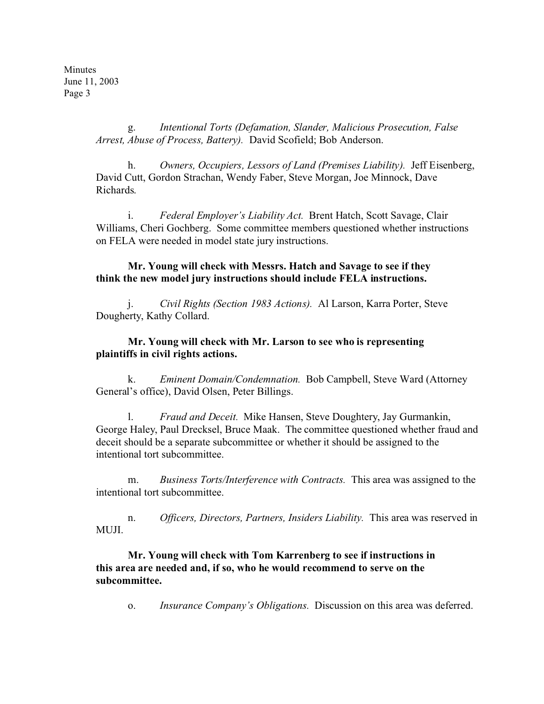> g. *Intentional Torts (Defamation, Slander, Malicious Prosecution, False Arrest, Abuse of Process, Battery).* David Scofield; Bob Anderson.

h. *Owners, Occupiers, Lessors of Land (Premises Liability).* Jeff Eisenberg, David Cutt, Gordon Strachan, Wendy Faber, Steve Morgan, Joe Minnock, Dave Richards.

i. *Federal Employer's Liability Act.* Brent Hatch, Scott Savage, Clair Williams, Cheri Gochberg. Some committee members questioned whether instructions on FELA were needed in model state jury instructions.

### **Mr. Young will check with Messrs. Hatch and Savage to see if they think the new model jury instructions should include FELA instructions.**

j. *Civil Rights (Section 1983 Actions).* Al Larson, Karra Porter, Steve Dougherty, Kathy Collard.

### **Mr. Young will check with Mr. Larson to see who is representing plaintiffs in civil rights actions.**

k. *Eminent Domain/Condemnation.* Bob Campbell, Steve Ward (Attorney General's office), David Olsen, Peter Billings.

l. *Fraud and Deceit.* Mike Hansen, Steve Doughtery, Jay Gurmankin, George Haley, Paul Drecksel, Bruce Maak. The committee questioned whether fraud and deceit should be a separate subcommittee or whether it should be assigned to the intentional tort subcommittee.

m. *Business Torts/Interference with Contracts.* This area was assigned to the intentional tort subcommittee.

n. *Officers, Directors, Partners, Insiders Liability.* This area was reserved in MUJI.

### **Mr. Young will check with Tom Karrenberg to see if instructions in this area are needed and, if so, who he would recommend to serve on the subcommittee.**

o. *Insurance Company's Obligations.* Discussion on this area was deferred.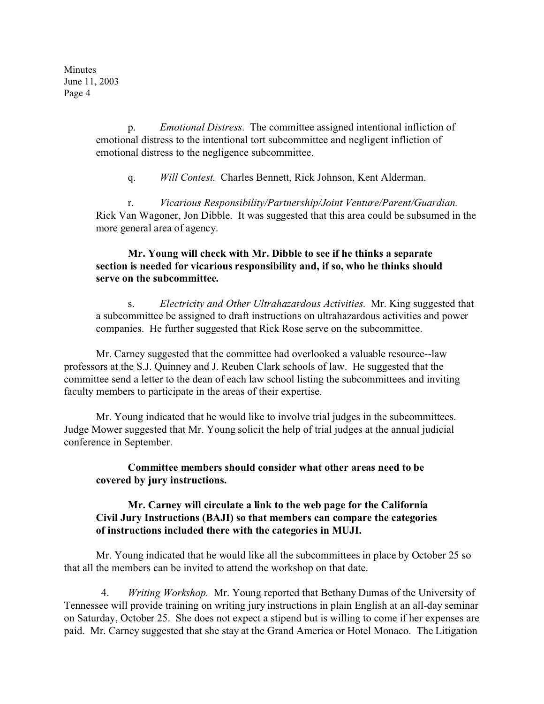> p. *Emotional Distress.* The committee assigned intentional infliction of emotional distress to the intentional tort subcommittee and negligent infliction of emotional distress to the negligence subcommittee.

q. *Will Contest.* Charles Bennett, Rick Johnson, Kent Alderman.

r. *Vicarious Responsibility/Partnership/Joint Venture/Parent/Guardian.* Rick Van Wagoner, Jon Dibble. It was suggested that this area could be subsumed in the more general area of agency.

# **Mr. Young will check with Mr. Dibble to see if he thinks a separate section is needed for vicarious responsibility and, if so, who he thinks should serve on the subcommittee.**

s. *Electricity and Other Ultrahazardous Activities.* Mr. King suggested that a subcommittee be assigned to draft instructions on ultrahazardous activities and power companies. He further suggested that Rick Rose serve on the subcommittee.

Mr. Carney suggested that the committee had overlooked a valuable resource--law professors at the S.J. Quinney and J. Reuben Clark schools of law. He suggested that the committee send a letter to the dean of each law school listing the subcommittees and inviting faculty members to participate in the areas of their expertise.

Mr. Young indicated that he would like to involve trial judges in the subcommittees. Judge Mower suggested that Mr. Young solicit the help of trial judges at the annual judicial conference in September.

### **Committee members should consider what other areas need to be covered by jury instructions.**

### **Mr. Carney will circulate a link to the web page for the California Civil Jury Instructions (BAJI) so that members can compare the categories of instructions included there with the categories in MUJI.**

Mr. Young indicated that he would like all the subcommittees in place by October 25 so that all the members can be invited to attend the workshop on that date.

 4. *Writing Workshop.* Mr. Young reported that Bethany Dumas of the University of Tennessee will provide training on writing jury instructions in plain English at an all-day seminar on Saturday, October 25. She does not expect a stipend but is willing to come if her expenses are paid. Mr. Carney suggested that she stay at the Grand America or Hotel Monaco. The Litigation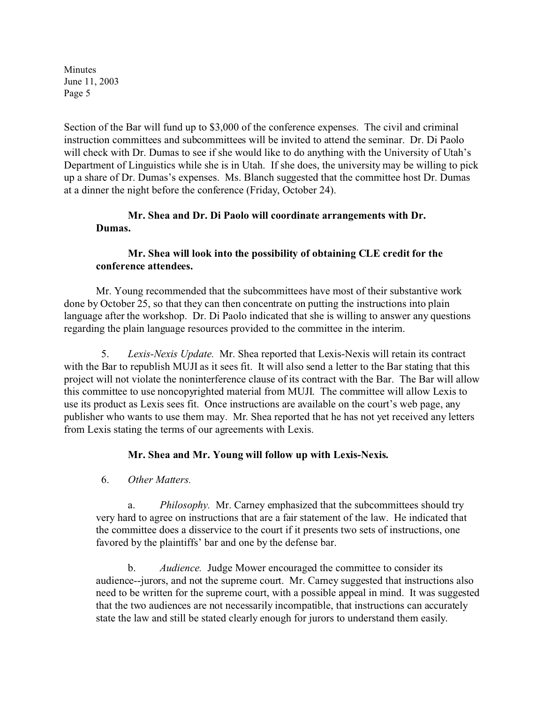Section of the Bar will fund up to \$3,000 of the conference expenses. The civil and criminal instruction committees and subcommittees will be invited to attend the seminar. Dr. Di Paolo will check with Dr. Dumas to see if she would like to do anything with the University of Utah's Department of Linguistics while she is in Utah. If she does, the university may be willing to pick up a share of Dr. Dumas's expenses. Ms. Blanch suggested that the committee host Dr. Dumas at a dinner the night before the conference (Friday, October 24).

# **Mr. Shea and Dr. Di Paolo will coordinate arrangements with Dr. Dumas.**

# **Mr. Shea will look into the possibility of obtaining CLE credit for the conference attendees.**

Mr. Young recommended that the subcommittees have most of their substantive work done by October 25, so that they can then concentrate on putting the instructions into plain language after the workshop. Dr. Di Paolo indicated that she is willing to answer any questions regarding the plain language resources provided to the committee in the interim.

 5. *Lexis-Nexis Update.* Mr. Shea reported that Lexis-Nexis will retain its contract with the Bar to republish MUJI as it sees fit. It will also send a letter to the Bar stating that this project will not violate the noninterference clause of its contract with the Bar. The Bar will allow this committee to use noncopyrighted material from MUJI. The committee will allow Lexis to use its product as Lexis sees fit. Once instructions are available on the court's web page, any publisher who wants to use them may. Mr. Shea reported that he has not yet received any letters from Lexis stating the terms of our agreements with Lexis.

# **Mr. Shea and Mr. Young will follow up with Lexis-Nexis.**

6. *Other Matters.*

a. *Philosophy.* Mr. Carney emphasized that the subcommittees should try very hard to agree on instructions that are a fair statement of the law. He indicated that the committee does a disservice to the court if it presents two sets of instructions, one favored by the plaintiffs' bar and one by the defense bar.

b. *Audience.* Judge Mower encouraged the committee to consider its audience--jurors, and not the supreme court. Mr. Carney suggested that instructions also need to be written for the supreme court, with a possible appeal in mind. It was suggested that the two audiences are not necessarily incompatible, that instructions can accurately state the law and still be stated clearly enough for jurors to understand them easily.